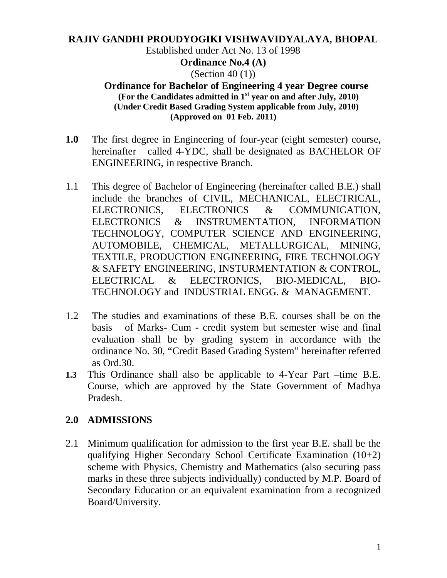# **RAJIV GANDHI PROUDYOGIKI VISHWAVIDYALAYA, BHOPAL** Established under Act No. 13 of 1998 **Ordinance No.4 (A)** (Section 40 (1))

#### **Ordinance for Bachelor of Engineering 4 year Degree course (For the Candidates admitted in 1st year on and after July, 2010) (Under Credit Based Grading System applicable from July, 2010) (Approved on 01 Feb. 2011)**

- **1.0** The first degree in Engineering of four-year (eight semester) course, hereinafter called 4-YDC, shall be designated as BACHELOR OF ENGINEERING, in respective Branch.
- 1.1 This degree of Bachelor of Engineering (hereinafter called B.E.) shall include the branches of CIVIL, MECHANICAL, ELECTRICAL, ELECTRONICS, ELECTRONICS & COMMUNICATION, ELECTRONICS & INSTRUMENTATION, INFORMATION TECHNOLOGY, COMPUTER SCIENCE AND ENGINEERING, AUTOMOBILE, CHEMICAL, METALLURGICAL, MINING, TEXTILE, PRODUCTION ENGINEERING, FIRE TECHNOLOGY & SAFETY ENGINEERING, INSTURMENTATION & CONTROL, ELECTRICAL & ELECTRONICS, BIO-MEDICAL, BIO-TECHNOLOGY and INDUSTRIAL ENGG. & MANAGEMENT.
- 1.2 The studies and examinations of these B.E. courses shall be on the basis of Marks- Cum - credit system but semester wise and final evaluation shall be by grading system in accordance with the ordinance No. 30, "Credit Based Grading System" hereinafter referred as Ord.30.
- **1.3** This Ordinance shall also be applicable to 4-Year Part –time B.E. Course, which are approved by the State Government of Madhya Pradesh.

## **2.0 ADMISSIONS**

2.1 Minimum qualification for admission to the first year B.E. shall be the qualifying Higher Secondary School Certificate Examination (10+2) scheme with Physics, Chemistry and Mathematics (also securing pass marks in these three subjects individually) conducted by M.P. Board of Secondary Education or an equivalent examination from a recognized Board/University.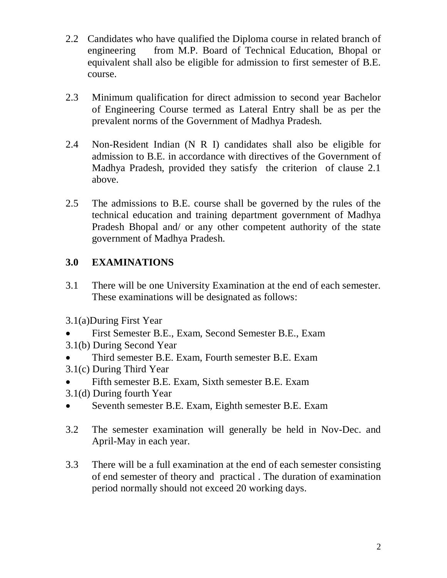- 2.2 Candidates who have qualified the Diploma course in related branch of engineering from M.P. Board of Technical Education, Bhopal or equivalent shall also be eligible for admission to first semester of B.E. course.
- 2.3 Minimum qualification for direct admission to second year Bachelor of Engineering Course termed as Lateral Entry shall be as per the prevalent norms of the Government of Madhya Pradesh.
- 2.4 Non-Resident Indian (N R I) candidates shall also be eligible for admission to B.E. in accordance with directives of the Government of Madhya Pradesh, provided they satisfy the criterion of clause 2.1 above.
- 2.5 The admissions to B.E. course shall be governed by the rules of the technical education and training department government of Madhya Pradesh Bhopal and/ or any other competent authority of the state government of Madhya Pradesh.

# **3.0 EXAMINATIONS**

- 3.1 There will be one University Examination at the end of each semester. These examinations will be designated as follows:
- 3.1(a)During First Year
- First Semester B.E., Exam, Second Semester B.E., Exam
- 3.1(b) During Second Year
- Third semester B.E. Exam, Fourth semester B.E. Exam
- 3.1(c) During Third Year
- Fifth semester B.E. Exam, Sixth semester B.E. Exam
- 3.1(d) During fourth Year
- Seventh semester B.E. Exam, Eighth semester B.E. Exam
- 3.2 The semester examination will generally be held in Nov-Dec. and April-May in each year.
- 3.3 There will be a full examination at the end of each semester consisting of end semester of theory and practical . The duration of examination period normally should not exceed 20 working days.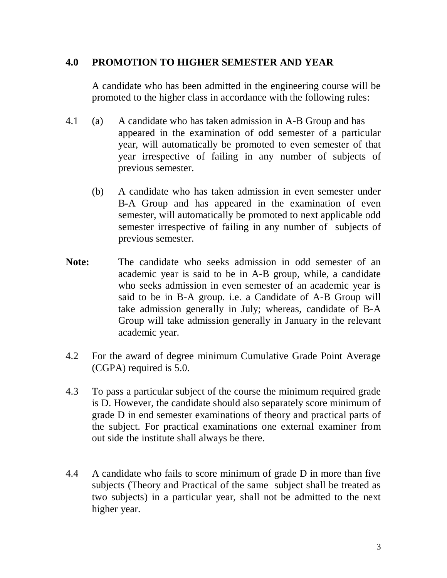### **4.0 PROMOTION TO HIGHER SEMESTER AND YEAR**

A candidate who has been admitted in the engineering course will be promoted to the higher class in accordance with the following rules:

- 4.1 (a) A candidate who has taken admission in A-B Group and has appeared in the examination of odd semester of a particular year, will automatically be promoted to even semester of that year irrespective of failing in any number of subjects of previous semester.
	- (b) A candidate who has taken admission in even semester under B-A Group and has appeared in the examination of even semester, will automatically be promoted to next applicable odd semester irrespective of failing in any number of subjects of previous semester.
- **Note:** The candidate who seeks admission in odd semester of an academic year is said to be in A-B group, while, a candidate who seeks admission in even semester of an academic year is said to be in B-A group. i.e. a Candidate of A-B Group will take admission generally in July; whereas, candidate of B-A Group will take admission generally in January in the relevant academic year.
- 4.2 For the award of degree minimum Cumulative Grade Point Average (CGPA) required is 5.0.
- 4.3 To pass a particular subject of the course the minimum required grade is D. However, the candidate should also separately score minimum of grade D in end semester examinations of theory and practical parts of the subject. For practical examinations one external examiner from out side the institute shall always be there.
- 4.4 A candidate who fails to score minimum of grade D in more than five subjects (Theory and Practical of the same subject shall be treated as two subjects) in a particular year, shall not be admitted to the next higher year.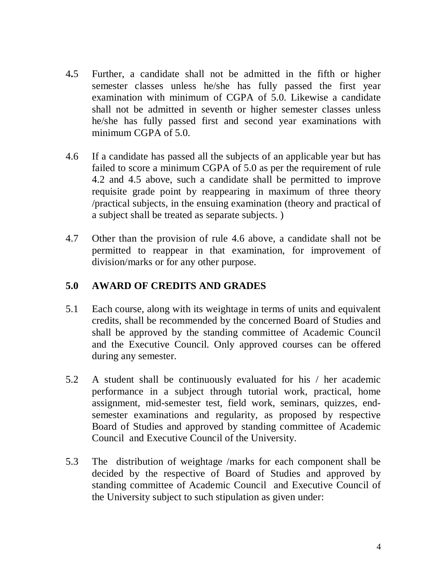- 4**.**5 Further, a candidate shall not be admitted in the fifth or higher semester classes unless he/she has fully passed the first year examination with minimum of CGPA of 5.0. Likewise a candidate shall not be admitted in seventh or higher semester classes unless he/she has fully passed first and second year examinations with minimum CGPA of 5.0.
- 4.6 If a candidate has passed all the subjects of an applicable year but has failed to score a minimum CGPA of 5.0 as per the requirement of rule 4.2 and 4.5 above, such a candidate shall be permitted to improve requisite grade point by reappearing in maximum of three theory /practical subjects, in the ensuing examination (theory and practical of a subject shall be treated as separate subjects. )
- 4.7 Other than the provision of rule 4.6 above, a candidate shall not be permitted to reappear in that examination, for improvement of division/marks or for any other purpose.

### **5.0 AWARD OF CREDITS AND GRADES**

- 5.1 Each course, along with its weightage in terms of units and equivalent credits, shall be recommended by the concerned Board of Studies and shall be approved by the standing committee of Academic Council and the Executive Council. Only approved courses can be offered during any semester.
- 5.2 A student shall be continuously evaluated for his / her academic performance in a subject through tutorial work, practical, home assignment, mid-semester test, field work, seminars, quizzes, endsemester examinations and regularity, as proposed by respective Board of Studies and approved by standing committee of Academic Council and Executive Council of the University.
- 5.3 The distribution of weightage /marks for each component shall be decided by the respective of Board of Studies and approved by standing committee of Academic Council and Executive Council of the University subject to such stipulation as given under: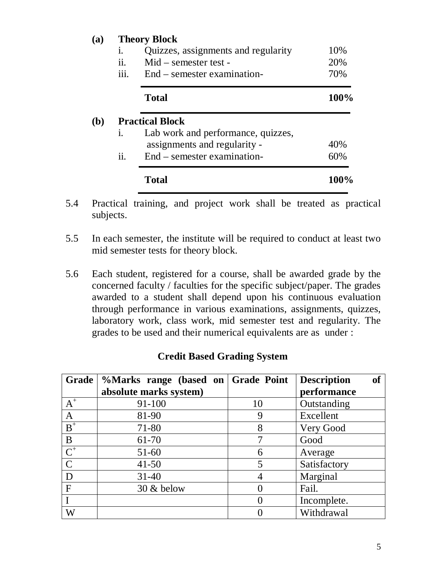| <b>(a)</b> | <b>Theory Block</b>        |                                     |      |  |  |
|------------|----------------------------|-------------------------------------|------|--|--|
|            | 1.                         | Quizzes, assignments and regularity | 10%  |  |  |
|            | ii.                        | $Mid$ – semester test –             | 20%  |  |  |
|            | iii.                       | End – semester examination-         | 70%  |  |  |
|            |                            | <b>Total</b>                        | 100% |  |  |
| <b>(b)</b> | <b>Practical Block</b>     |                                     |      |  |  |
|            | 1.                         | Lab work and performance, quizzes,  |      |  |  |
|            |                            | assignments and regularity -        | 40%  |  |  |
|            | $\overline{\mathbf{11}}$ . | End – semester examination-         | 60%  |  |  |
|            |                            | <b>Total</b>                        | 100% |  |  |

- 5.4 Practical training, and project work shall be treated as practical subjects.
- 5.5 In each semester, the institute will be required to conduct at least two mid semester tests for theory block.
- 5.6 Each student, registered for a course, shall be awarded grade by the concerned faculty / faculties for the specific subject/paper. The grades awarded to a student shall depend upon his continuous evaluation through performance in various examinations, assignments, quizzes, laboratory work, class work, mid semester test and regularity. The grades to be used and their numerical equivalents are as under :

|                  | Grade   %Marks range (based on   Grade Point |    | <b>of</b><br><b>Description</b> |
|------------------|----------------------------------------------|----|---------------------------------|
|                  | absolute marks system)                       |    | performance                     |
| $A^+$            | 91-100                                       | 10 | Outstanding                     |
| $\mathbf{A}$     | 81-90                                        | 9  | Excellent                       |
| $B^+$            | 71-80                                        | 8  | Very Good                       |
| B                | 61-70                                        |    | Good                            |
| $\overline{C}^+$ | $51 - 60$                                    | 6  | Average                         |
| $\mathcal{C}$    | $41 - 50$                                    | 5  | Satisfactory                    |
| D                | $31 - 40$                                    |    | Marginal                        |
| $\mathbf{F}$     | $30 \&$ below                                |    | Fail.                           |
|                  |                                              |    | Incomplete.                     |
| W                |                                              |    | Withdrawal                      |

### **Credit Based Grading System**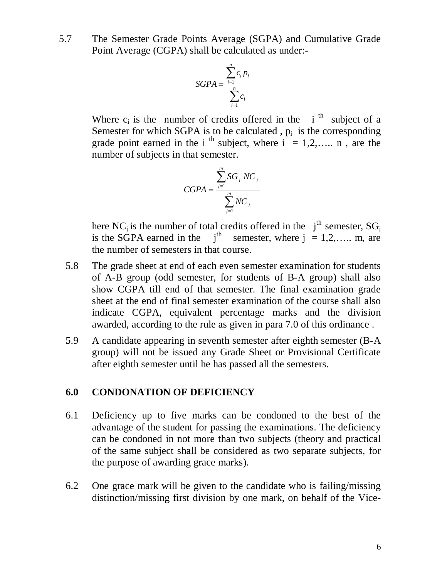5.7 The Semester Grade Points Average (SGPA) and Cumulative Grade Point Average (CGPA) shall be calculated as under:-

$$
SGPA = \frac{\sum_{i=1}^{n} c_i p_i}{\sum_{i=1}^{n} c_i}
$$

Where  $c_i$  is the number of credits offered in the i<sup>th</sup> subject of a Semester for which SGPA is to be calculated,  $p_i$  is the corresponding grade point earned in the i<sup>th</sup> subject, where  $i = 1, 2, \ldots$  n, are the number of subjects in that semester.

$$
CGPA = \frac{\sum_{j=1}^{m} SG_j NC_j}{\sum_{j=1}^{m} NC_j}
$$

here NC<sub>j</sub> is the number of total credits offered in the  $j<sup>th</sup>$  semester, SG<sub>j</sub> is the SGPA earned in the  $j<sup>th</sup>$  semester, where  $j = 1, 2, \ldots$  m, are the number of semesters in that course.

- 5.8 The grade sheet at end of each even semester examination for students of A-B group (odd semester, for students of B-A group) shall also show CGPA till end of that semester. The final examination grade sheet at the end of final semester examination of the course shall also indicate CGPA, equivalent percentage marks and the division awarded, according to the rule as given in para 7.0 of this ordinance .
- 5.9 A candidate appearing in seventh semester after eighth semester (B-A group) will not be issued any Grade Sheet or Provisional Certificate after eighth semester until he has passed all the semesters.

#### **6.0 CONDONATION OF DEFICIENCY**

- 6.1 Deficiency up to five marks can be condoned to the best of the advantage of the student for passing the examinations. The deficiency can be condoned in not more than two subjects (theory and practical of the same subject shall be considered as two separate subjects, for the purpose of awarding grace marks).
- 6.2 One grace mark will be given to the candidate who is failing/missing distinction/missing first division by one mark, on behalf of the Vice-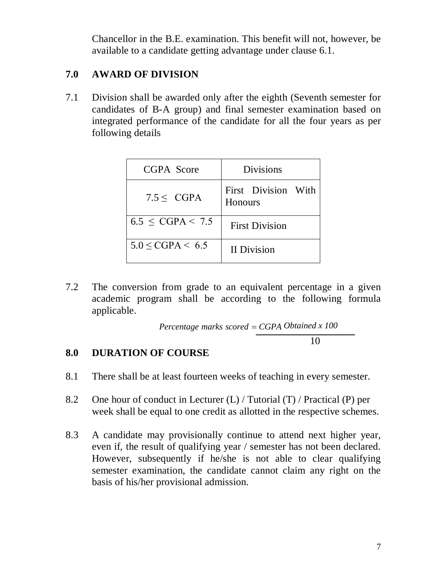Chancellor in the B.E. examination. This benefit will not, however, be available to a candidate getting advantage under clause 6.1.

## **7.0 AWARD OF DIVISION**

7.1 Division shall be awarded only after the eighth (Seventh semester for candidates of B-A group) and final semester examination based on integrated performance of the candidate for all the four years as per following details

| CGPA Score               | <b>Divisions</b>               |
|--------------------------|--------------------------------|
| $7.5 <$ CGPA             | First Division With<br>Honours |
| $6.5 \leq CGPA < 7.5$    | <b>First Division</b>          |
| $5.0 \leq CGPA \leq 6.5$ | <b>II</b> Division             |

7.2 The conversion from grade to an equivalent percentage in a given academic program shall be according to the following formula applicable.

 *Obtained x 100 Percentage marks scored CGPA*10

# **8.0 DURATION OF COURSE**

- 8.1 There shall be at least fourteen weeks of teaching in every semester.
- 8.2 One hour of conduct in Lecturer (L) / Tutorial (T) / Practical (P) per week shall be equal to one credit as allotted in the respective schemes.
- 8.3 A candidate may provisionally continue to attend next higher year, even if, the result of qualifying year / semester has not been declared. However, subsequently if he/she is not able to clear qualifying semester examination, the candidate cannot claim any right on the basis of his/her provisional admission.